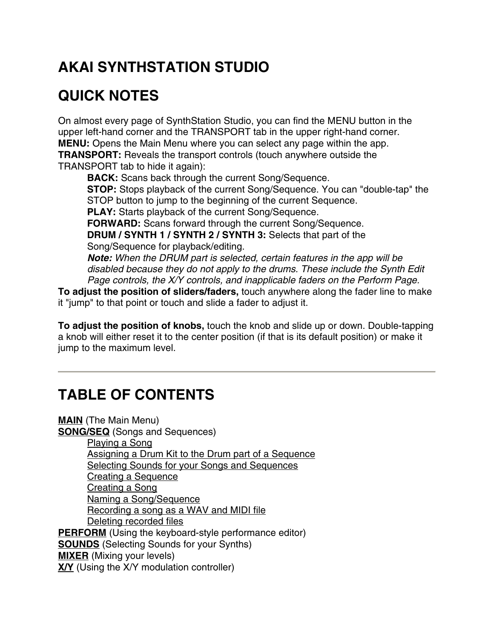# **AKAI SYNTHSTATION STUDIO**

# **QUICK NOTES**

On almost every page of SynthStation Studio, you can find the MENU button in the upper left-hand corner and the TRANSPORT tab in the upper right-hand corner. **MENU:** Opens the Main Menu where you can select any page within the app. **TRANSPORT:** Reveals the transport controls (touch anywhere outside the TRANSPORT tab to hide it again):

**BACK:** Scans back through the current Song/Sequence. **STOP:** Stops playback of the current Song/Sequence. You can "double-tap" the STOP button to jump to the beginning of the current Sequence. **PLAY:** Starts playback of the current Song/Sequence. **FORWARD:** Scans forward through the current Song/Sequence. **DRUM / SYNTH 1 / SYNTH 2 / SYNTH 3:** Selects that part of the Song/Sequence for playback/editing.

*Note: When the DRUM part is selected, certain features in the app will be disabled because they do not apply to the drums. These include the Synth Edit Page controls, the X/Y controls, and inapplicable faders on the Perform Page.*

**To adjust the position of sliders/faders,** touch anywhere along the fader line to make it "jump" to that point or touch and slide a fader to adjust it.

**To adjust the position of knobs,** touch the knob and slide up or down. Double-tapping a knob will either reset it to the center position (if that is its default position) or make it jump to the maximum level.

# **TABLE OF CONTENTS**

**MAIN** (The Main Menu) **SONG/SEQ** (Songs and Sequences) Playing a Song Assigning a Drum Kit to the Drum part of a Sequence Selecting Sounds for your Songs and Sequences Creating a Sequence Creating a Song Naming a Song/Sequence Recording a song as a WAV and MIDI file Deleting recorded files **PERFORM** (Using the keyboard-style performance editor) **SOUNDS** (Selecting Sounds for your Synths) **MIXER** (Mixing your levels) **X/Y** (Using the X/Y modulation controller)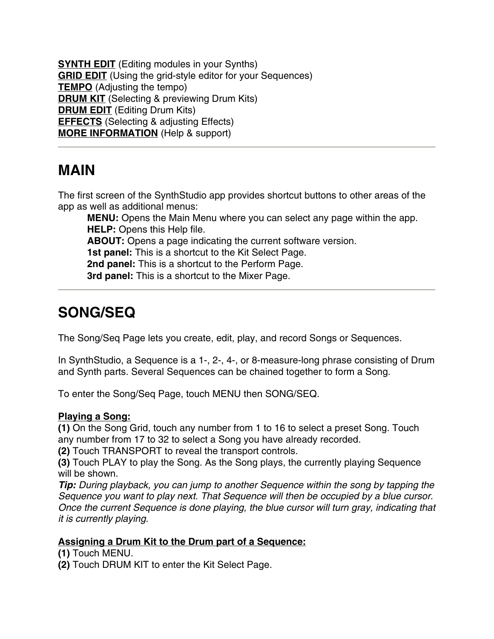**SYNTH EDIT** (Editing modules in your Synths) **GRID EDIT** (Using the grid-style editor for your Sequences) **TEMPO** (Adjusting the tempo) **DRUM KIT** (Selecting & previewing Drum Kits) **DRUM EDIT** (Editing Drum Kits) **EFFECTS** (Selecting & adjusting Effects) **MORE INFORMATION** (Help & support)

### **MAIN**

The first screen of the SynthStudio app provides shortcut buttons to other areas of the app as well as additional menus:

**MENU:** Opens the Main Menu where you can select any page within the app. **HELP:** Opens this Help file. **ABOUT:** Opens a page indicating the current software version. **1st panel:** This is a shortcut to the Kit Select Page. **2nd panel:** This is a shortcut to the Perform Page. **3rd panel:** This is a shortcut to the Mixer Page.

# **SONG/SEQ**

The Song/Seq Page lets you create, edit, play, and record Songs or Sequences.

In SynthStudio, a Sequence is a 1-, 2-, 4-, or 8-measure-long phrase consisting of Drum and Synth parts. Several Sequences can be chained together to form a Song.

To enter the Song/Seq Page, touch MENU then SONG/SEQ.

#### **Playing a Song:**

**(1)** On the Song Grid, touch any number from 1 to 16 to select a preset Song. Touch any number from 17 to 32 to select a Song you have already recorded.

**(2)** Touch TRANSPORT to reveal the transport controls.

**(3)** Touch PLAY to play the Song. As the Song plays, the currently playing Sequence will be shown.

*Tip: During playback, you can jump to another Sequence within the song by tapping the Sequence you want to play next. That Sequence will then be occupied by a blue cursor. Once the current Sequence is done playing, the blue cursor will turn gray, indicating that it is currently playing.*

#### **Assigning a Drum Kit to the Drum part of a Sequence:**

**(1)** Touch MENU.

**(2)** Touch DRUM KIT to enter the Kit Select Page.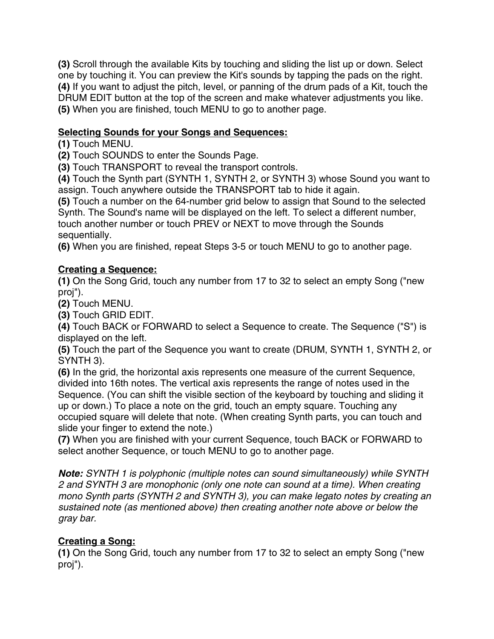**(3)** Scroll through the available Kits by touching and sliding the list up or down. Select one by touching it. You can preview the Kit's sounds by tapping the pads on the right. **(4)** If you want to adjust the pitch, level, or panning of the drum pads of a Kit, touch the DRUM EDIT button at the top of the screen and make whatever adjustments you like. **(5)** When you are finished, touch MENU to go to another page.

#### **Selecting Sounds for your Songs and Sequences:**

**(1)** Touch MENU.

**(2)** Touch SOUNDS to enter the Sounds Page.

**(3)** Touch TRANSPORT to reveal the transport controls.

**(4)** Touch the Synth part (SYNTH 1, SYNTH 2, or SYNTH 3) whose Sound you want to assign. Touch anywhere outside the TRANSPORT tab to hide it again.

**(5)** Touch a number on the 64-number grid below to assign that Sound to the selected Synth. The Sound's name will be displayed on the left. To select a different number, touch another number or touch PREV or NEXT to move through the Sounds sequentially.

**(6)** When you are finished, repeat Steps 3-5 or touch MENU to go to another page.

#### **Creating a Sequence:**

**(1)** On the Song Grid, touch any number from 17 to 32 to select an empty Song ("new proj").

**(2)** Touch MENU.

**(3)** Touch GRID EDIT.

**(4)** Touch BACK or FORWARD to select a Sequence to create. The Sequence ("S") is displayed on the left.

**(5)** Touch the part of the Sequence you want to create (DRUM, SYNTH 1, SYNTH 2, or SYNTH 3).

**(6)** In the grid, the horizontal axis represents one measure of the current Sequence, divided into 16th notes. The vertical axis represents the range of notes used in the Sequence. (You can shift the visible section of the keyboard by touching and sliding it up or down.) To place a note on the grid, touch an empty square. Touching any occupied square will delete that note. (When creating Synth parts, you can touch and slide your finger to extend the note.)

**(7)** When you are finished with your current Sequence, touch BACK or FORWARD to select another Sequence, or touch MENU to go to another page.

*Note: SYNTH 1 is polyphonic (multiple notes can sound simultaneously) while SYNTH 2 and SYNTH 3 are monophonic (only one note can sound at a time). When creating mono Synth parts (SYNTH 2 and SYNTH 3), you can make legato notes by creating an sustained note (as mentioned above) then creating another note above or below the gray bar.*

### **Creating a Song:**

**(1)** On the Song Grid, touch any number from 17 to 32 to select an empty Song ("new proj").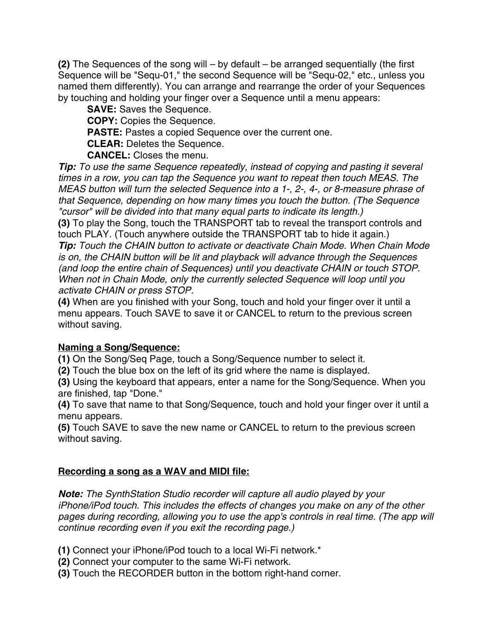**(2)** The Sequences of the song will – by default – be arranged sequentially (the first Sequence will be "Sequ-01," the second Sequence will be "Sequ-02," etc., unless you named them differently). You can arrange and rearrange the order of your Sequences by touching and holding your finger over a Sequence until a menu appears:

**SAVE:** Saves the Sequence. **COPY:** Copies the Sequence. **PASTE:** Pastes a copied Sequence over the current one. **CLEAR:** Deletes the Sequence. **CANCEL:** Closes the menu.

*Tip: To use the same Sequence repeatedly, instead of copying and pasting it several times in a row, you can tap the Sequence you want to repeat then touch MEAS. The MEAS button will turn the selected Sequence into a 1-, 2-, 4-, or 8-measure phrase of that Sequence, depending on how many times you touch the button. (The Sequence "cursor" will be divided into that many equal parts to indicate its length.)*

**(3)** To play the Song, touch the TRANSPORT tab to reveal the transport controls and touch PLAY. (Touch anywhere outside the TRANSPORT tab to hide it again.)

*Tip: Touch the CHAIN button to activate or deactivate Chain Mode. When Chain Mode is on, the CHAIN button will be lit and playback will advance through the Sequences (and loop the entire chain of Sequences) until you deactivate CHAIN or touch STOP. When not in Chain Mode, only the currently selected Sequence will loop until you activate CHAIN or press STOP.*

**(4)** When are you finished with your Song, touch and hold your finger over it until a menu appears. Touch SAVE to save it or CANCEL to return to the previous screen without saving.

### **Naming a Song/Sequence:**

**(1)** On the Song/Seq Page, touch a Song/Sequence number to select it.

**(2)** Touch the blue box on the left of its grid where the name is displayed.

**(3)** Using the keyboard that appears, enter a name for the Song/Sequence. When you are finished, tap "Done."

**(4)** To save that name to that Song/Sequence, touch and hold your finger over it until a menu appears.

**(5)** Touch SAVE to save the new name or CANCEL to return to the previous screen without saving.

### **Recording a song as a WAV and MIDI file:**

*Note: The SynthStation Studio recorder will capture all audio played by your iPhone/iPod touch. This includes the effects of changes you make on any of the other pages during recording, allowing you to use the app's controls in real time. (The app will continue recording even if you exit the recording page.)*

**(1)** Connect your iPhone/iPod touch to a local Wi-Fi network.\*

- **(2)** Connect your computer to the same Wi-Fi network.
- **(3)** Touch the RECORDER button in the bottom right-hand corner.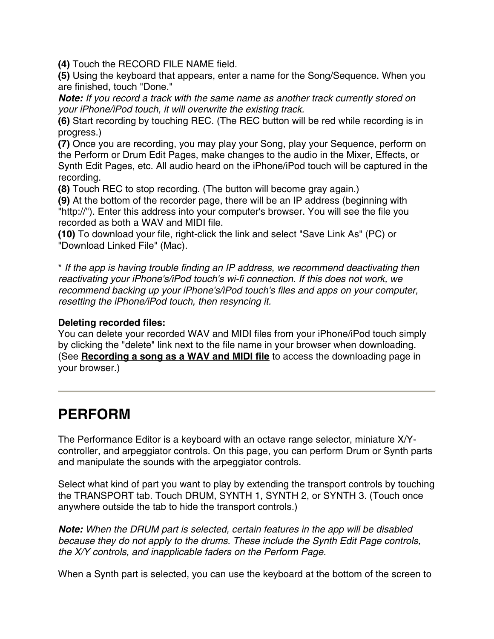**(4)** Touch the RECORD FILE NAME field.

**(5)** Using the keyboard that appears, enter a name for the Song/Sequence. When you are finished, touch "Done."

*Note: If you record a track with the same name as another track currently stored on your iPhone/iPod touch, it will overwrite the existing track.*

**(6)** Start recording by touching REC. (The REC button will be red while recording is in progress.)

**(7)** Once you are recording, you may play your Song, play your Sequence, perform on the Perform or Drum Edit Pages, make changes to the audio in the Mixer, Effects, or Synth Edit Pages, etc. All audio heard on the iPhone/iPod touch will be captured in the recording.

**(8)** Touch REC to stop recording. (The button will become gray again.)

**(9)** At the bottom of the recorder page, there will be an IP address (beginning with "http://"). Enter this address into your computer's browser. You will see the file you recorded as both a WAV and MIDI file.

**(10)** To download your file, right-click the link and select "Save Link As" (PC) or "Download Linked File" (Mac).

\* *If the app is having trouble finding an IP address, we recommend deactivating then reactivating your iPhone's/iPod touch's wi-fi connection. If this does not work, we recommend backing up your iPhone's/iPod touch's files and apps on your computer, resetting the iPhone/iPod touch, then resyncing it.*

#### **Deleting recorded files:**

You can delete your recorded WAV and MIDI files from your iPhone/iPod touch simply by clicking the "delete" link next to the file name in your browser when downloading. (See **Recording a song as a WAV and MIDI file** to access the downloading page in your browser.)

### **PERFORM**

The Performance Editor is a keyboard with an octave range selector, miniature X/Ycontroller, and arpeggiator controls. On this page, you can perform Drum or Synth parts and manipulate the sounds with the arpeggiator controls.

Select what kind of part you want to play by extending the transport controls by touching the TRANSPORT tab. Touch DRUM, SYNTH 1, SYNTH 2, or SYNTH 3. (Touch once anywhere outside the tab to hide the transport controls.)

*Note: When the DRUM part is selected, certain features in the app will be disabled because they do not apply to the drums. These include the Synth Edit Page controls, the X/Y controls, and inapplicable faders on the Perform Page.*

When a Synth part is selected, you can use the keyboard at the bottom of the screen to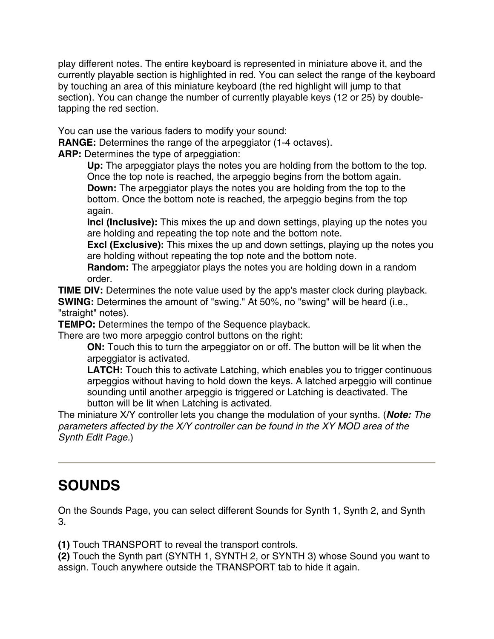play different notes. The entire keyboard is represented in miniature above it, and the currently playable section is highlighted in red. You can select the range of the keyboard by touching an area of this miniature keyboard (the red highlight will jump to that section). You can change the number of currently playable keys (12 or 25) by doubletapping the red section.

You can use the various faders to modify your sound:

**RANGE:** Determines the range of the arpeggiator (1-4 octaves).

**ARP:** Determines the type of arpeggiation:

**Up:** The arpeggiator plays the notes you are holding from the bottom to the top. Once the top note is reached, the arpeggio begins from the bottom again. **Down:** The arpeggiator plays the notes you are holding from the top to the bottom. Once the bottom note is reached, the arpeggio begins from the top again.

**Incl (Inclusive):** This mixes the up and down settings, playing up the notes you are holding and repeating the top note and the bottom note.

**Excl (Exclusive):** This mixes the up and down settings, playing up the notes you are holding without repeating the top note and the bottom note.

**Random:** The arpeggiator plays the notes you are holding down in a random order.

**TIME DIV:** Determines the note value used by the app's master clock during playback. **SWING:** Determines the amount of "swing." At 50%, no "swing" will be heard (i.e., "straight" notes).

**TEMPO:** Determines the tempo of the Sequence playback.

There are two more arpeggio control buttons on the right:

**ON:** Touch this to turn the arpeggiator on or off. The button will be lit when the arpeggiator is activated.

**LATCH:** Touch this to activate Latching, which enables you to trigger continuous arpeggios without having to hold down the keys. A latched arpeggio will continue sounding until another arpeggio is triggered or Latching is deactivated. The button will be lit when Latching is activated.

The miniature X/Y controller lets you change the modulation of your synths. (*Note: The parameters affected by the X/Y controller can be found in the XY MOD area of the Synth Edit Page.*)

# **SOUNDS**

On the Sounds Page, you can select different Sounds for Synth 1, Synth 2, and Synth 3.

**(1)** Touch TRANSPORT to reveal the transport controls.

**(2)** Touch the Synth part (SYNTH 1, SYNTH 2, or SYNTH 3) whose Sound you want to assign. Touch anywhere outside the TRANSPORT tab to hide it again.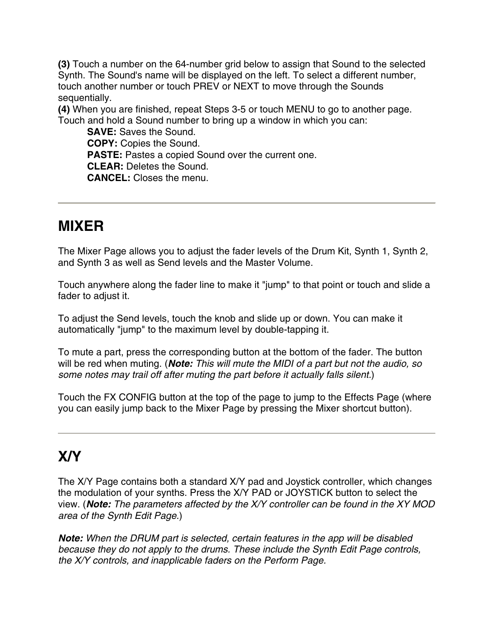**(3)** Touch a number on the 64-number grid below to assign that Sound to the selected Synth. The Sound's name will be displayed on the left. To select a different number, touch another number or touch PREV or NEXT to move through the Sounds sequentially.

**(4)** When you are finished, repeat Steps 3-5 or touch MENU to go to another page. Touch and hold a Sound number to bring up a window in which you can:

**SAVE:** Saves the Sound. **COPY:** Copies the Sound. **PASTE:** Pastes a copied Sound over the current one. **CLEAR:** Deletes the Sound. **CANCEL:** Closes the menu.

## **MIXER**

The Mixer Page allows you to adjust the fader levels of the Drum Kit, Synth 1, Synth 2, and Synth 3 as well as Send levels and the Master Volume.

Touch anywhere along the fader line to make it "jump" to that point or touch and slide a fader to adjust it.

To adjust the Send levels, touch the knob and slide up or down. You can make it automatically "jump" to the maximum level by double-tapping it.

To mute a part, press the corresponding button at the bottom of the fader. The button will be red when muting. (*Note: This will mute the MIDI of a part but not the audio, so some notes may trail off after muting the part before it actually falls silent.*)

Touch the FX CONFIG button at the top of the page to jump to the Effects Page (where you can easily jump back to the Mixer Page by pressing the Mixer shortcut button).

# **X/Y**

The X/Y Page contains both a standard X/Y pad and Joystick controller, which changes the modulation of your synths. Press the X/Y PAD or JOYSTICK button to select the view. (*Note: The parameters affected by the X/Y controller can be found in the XY MOD area of the Synth Edit Page.*)

*Note: When the DRUM part is selected, certain features in the app will be disabled because they do not apply to the drums. These include the Synth Edit Page controls, the X/Y controls, and inapplicable faders on the Perform Page.*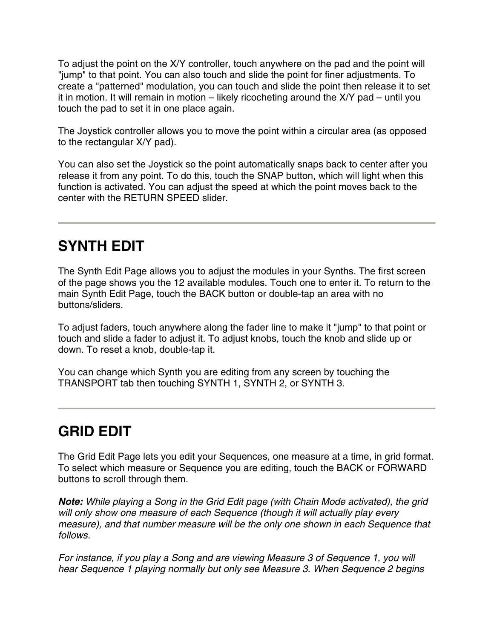To adjust the point on the X/Y controller, touch anywhere on the pad and the point will "jump" to that point. You can also touch and slide the point for finer adjustments. To create a "patterned" modulation, you can touch and slide the point then release it to set it in motion. It will remain in motion – likely ricocheting around the X/Y pad – until you touch the pad to set it in one place again.

The Joystick controller allows you to move the point within a circular area (as opposed to the rectangular X/Y pad).

You can also set the Joystick so the point automatically snaps back to center after you release it from any point. To do this, touch the SNAP button, which will light when this function is activated. You can adjust the speed at which the point moves back to the center with the RETURN SPEED slider.

### **SYNTH EDIT**

The Synth Edit Page allows you to adjust the modules in your Synths. The first screen of the page shows you the 12 available modules. Touch one to enter it. To return to the main Synth Edit Page, touch the BACK button or double-tap an area with no buttons/sliders.

To adjust faders, touch anywhere along the fader line to make it "jump" to that point or touch and slide a fader to adjust it. To adjust knobs, touch the knob and slide up or down. To reset a knob, double-tap it.

You can change which Synth you are editing from any screen by touching the TRANSPORT tab then touching SYNTH 1, SYNTH 2, or SYNTH 3.

# **GRID EDIT**

The Grid Edit Page lets you edit your Sequences, one measure at a time, in grid format. To select which measure or Sequence you are editing, touch the BACK or FORWARD buttons to scroll through them.

*Note: While playing a Song in the Grid Edit page (with Chain Mode activated), the grid will only show one measure of each Sequence (though it will actually play every measure), and that number measure will be the only one shown in each Sequence that follows.* 

*For instance, if you play a Song and are viewing Measure 3 of Sequence 1, you will hear Sequence 1 playing normally but only see Measure 3. When Sequence 2 begins*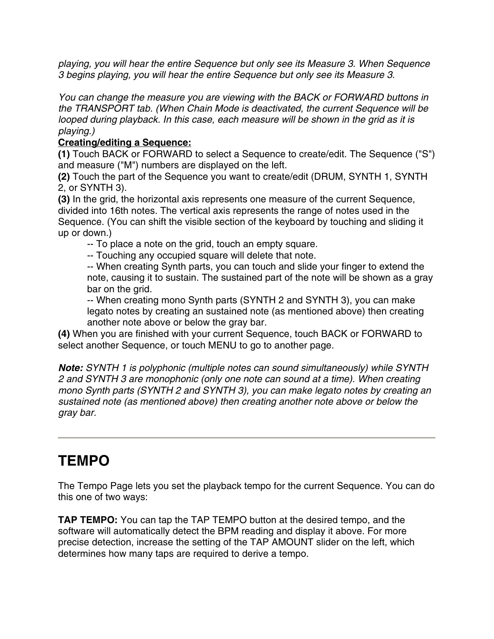*playing, you will hear the entire Sequence but only see its Measure 3. When Sequence 3 begins playing, you will hear the entire Sequence but only see its Measure 3.* 

*You can change the measure you are viewing with the BACK or FORWARD buttons in the TRANSPORT tab. (When Chain Mode is deactivated, the current Sequence will be looped during playback. In this case, each measure will be shown in the grid as it is playing.)*

#### **Creating/editing a Sequence:**

**(1)** Touch BACK or FORWARD to select a Sequence to create/edit. The Sequence ("S") and measure ("M") numbers are displayed on the left.

**(2)** Touch the part of the Sequence you want to create/edit (DRUM, SYNTH 1, SYNTH 2, or SYNTH 3).

**(3)** In the grid, the horizontal axis represents one measure of the current Sequence, divided into 16th notes. The vertical axis represents the range of notes used in the Sequence. (You can shift the visible section of the keyboard by touching and sliding it up or down.)

-- To place a note on the grid, touch an empty square.

-- Touching any occupied square will delete that note.

-- When creating Synth parts, you can touch and slide your finger to extend the note, causing it to sustain. The sustained part of the note will be shown as a gray bar on the grid.

-- When creating mono Synth parts (SYNTH 2 and SYNTH 3), you can make legato notes by creating an sustained note (as mentioned above) then creating another note above or below the gray bar.

**(4)** When you are finished with your current Sequence, touch BACK or FORWARD to select another Sequence, or touch MENU to go to another page.

*Note: SYNTH 1 is polyphonic (multiple notes can sound simultaneously) while SYNTH 2 and SYNTH 3 are monophonic (only one note can sound at a time). When creating mono Synth parts (SYNTH 2 and SYNTH 3), you can make legato notes by creating an sustained note (as mentioned above) then creating another note above or below the gray bar.*

### **TEMPO**

The Tempo Page lets you set the playback tempo for the current Sequence. You can do this one of two ways:

**TAP TEMPO:** You can tap the TAP TEMPO button at the desired tempo, and the software will automatically detect the BPM reading and display it above. For more precise detection, increase the setting of the TAP AMOUNT slider on the left, which determines how many taps are required to derive a tempo.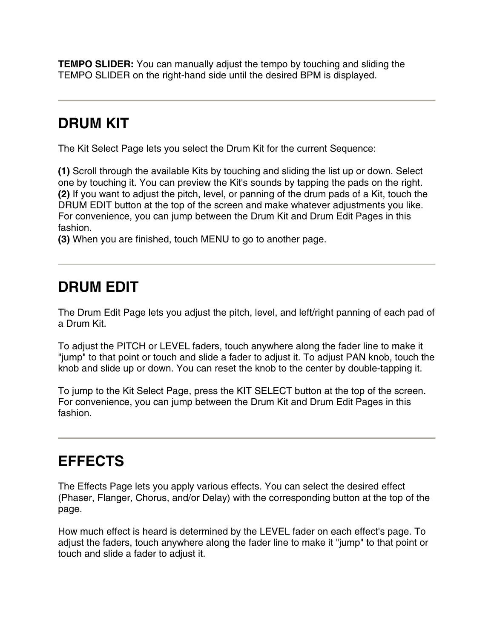**TEMPO SLIDER:** You can manually adjust the tempo by touching and sliding the TEMPO SLIDER on the right-hand side until the desired BPM is displayed.

## **DRUM KIT**

The Kit Select Page lets you select the Drum Kit for the current Sequence:

**(1)** Scroll through the available Kits by touching and sliding the list up or down. Select one by touching it. You can preview the Kit's sounds by tapping the pads on the right. **(2)** If you want to adjust the pitch, level, or panning of the drum pads of a Kit, touch the DRUM EDIT button at the top of the screen and make whatever adjustments you like. For convenience, you can jump between the Drum Kit and Drum Edit Pages in this fashion.

**(3)** When you are finished, touch MENU to go to another page.

### **DRUM EDIT**

The Drum Edit Page lets you adjust the pitch, level, and left/right panning of each pad of a Drum Kit.

To adjust the PITCH or LEVEL faders, touch anywhere along the fader line to make it "jump" to that point or touch and slide a fader to adjust it. To adjust PAN knob, touch the knob and slide up or down. You can reset the knob to the center by double-tapping it.

To jump to the Kit Select Page, press the KIT SELECT button at the top of the screen. For convenience, you can jump between the Drum Kit and Drum Edit Pages in this fashion.

### **EFFECTS**

The Effects Page lets you apply various effects. You can select the desired effect (Phaser, Flanger, Chorus, and/or Delay) with the corresponding button at the top of the page.

How much effect is heard is determined by the LEVEL fader on each effect's page. To adjust the faders, touch anywhere along the fader line to make it "jump" to that point or touch and slide a fader to adjust it.